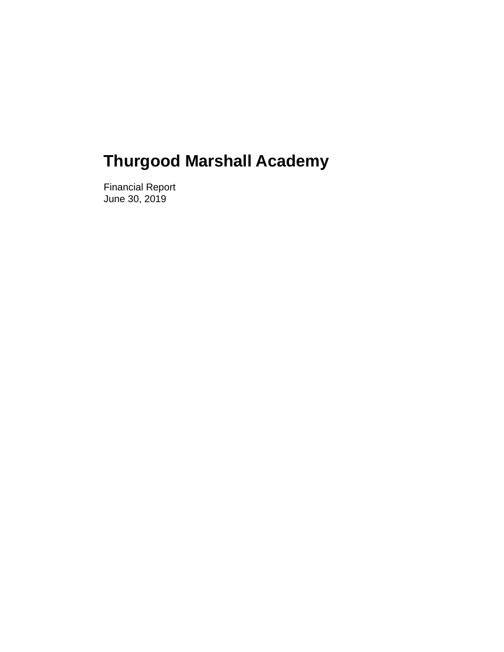Financial Report June 30, 2019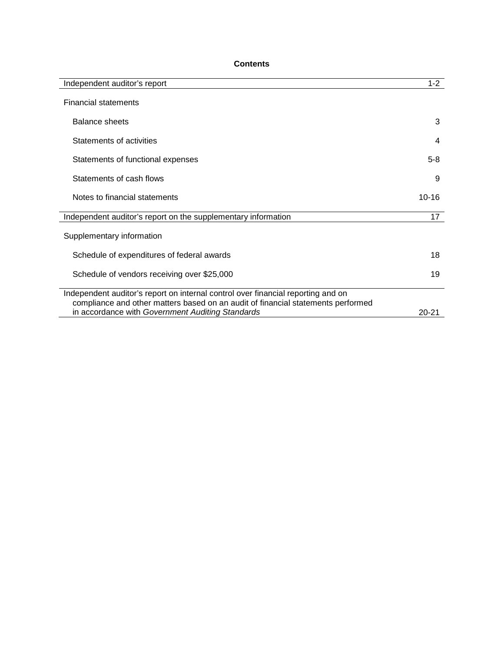# **Contents**

| Independent auditor's report                                                                                                                                         | $1 - 2$   |
|----------------------------------------------------------------------------------------------------------------------------------------------------------------------|-----------|
| <b>Financial statements</b>                                                                                                                                          |           |
| Balance sheets                                                                                                                                                       | 3         |
| Statements of activities                                                                                                                                             | 4         |
| Statements of functional expenses                                                                                                                                    | $5-8$     |
| Statements of cash flows                                                                                                                                             | 9         |
| Notes to financial statements                                                                                                                                        | $10 - 16$ |
| Independent auditor's report on the supplementary information                                                                                                        | 17        |
| Supplementary information                                                                                                                                            |           |
| Schedule of expenditures of federal awards                                                                                                                           | 18        |
| Schedule of vendors receiving over \$25,000                                                                                                                          | 19        |
| Independent auditor's report on internal control over financial reporting and on<br>compliance and other matters based on an audit of financial statements performed |           |
| in accordance with Government Auditing Standards                                                                                                                     | $20 - 21$ |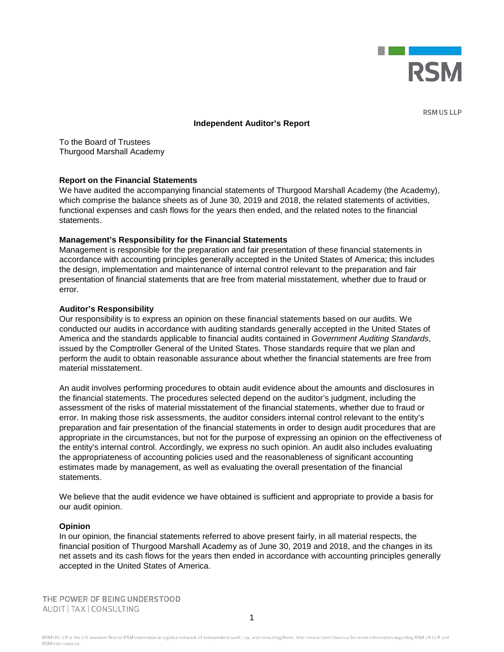

**RSM US LLP** 

#### **Independent Auditor's Report**

To the Board of Trustees Thurgood Marshall Academy

#### **Report on the Financial Statements**

We have audited the accompanying financial statements of Thurgood Marshall Academy (the Academy), which comprise the balance sheets as of June 30, 2019 and 2018, the related statements of activities, functional expenses and cash flows for the years then ended, and the related notes to the financial statements.

#### **Management's Responsibility for the Financial Statements**

Management is responsible for the preparation and fair presentation of these financial statements in accordance with accounting principles generally accepted in the United States of America; this includes the design, implementation and maintenance of internal control relevant to the preparation and fair presentation of financial statements that are free from material misstatement, whether due to fraud or error.

#### **Auditor's Responsibility**

Our responsibility is to express an opinion on these financial statements based on our audits. We conducted our audits in accordance with auditing standards generally accepted in the United States of America and the standards applicable to financial audits contained in *Government Auditing Standards*, issued by the Comptroller General of the United States. Those standards require that we plan and perform the audit to obtain reasonable assurance about whether the financial statements are free from material misstatement.

An audit involves performing procedures to obtain audit evidence about the amounts and disclosures in the financial statements. The procedures selected depend on the auditor's judgment, including the assessment of the risks of material misstatement of the financial statements, whether due to fraud or error. In making those risk assessments, the auditor considers internal control relevant to the entity's preparation and fair presentation of the financial statements in order to design audit procedures that are appropriate in the circumstances, but not for the purpose of expressing an opinion on the effectiveness of the entity's internal control. Accordingly, we express no such opinion. An audit also includes evaluating the appropriateness of accounting policies used and the reasonableness of significant accounting estimates made by management, as well as evaluating the overall presentation of the financial statements.

We believe that the audit evidence we have obtained is sufficient and appropriate to provide a basis for our audit opinion.

#### **Opinion**

In our opinion, the financial statements referred to above present fairly, in all material respects, the financial position of Thurgood Marshall Academy as of June 30, 2019 and 2018, and the changes in its net assets and its cash flows for the years then ended in accordance with accounting principles generally accepted in the United States of America.

THE POWER OF BEING UNDERSTOOD AUDIT | TAX | CONSULTING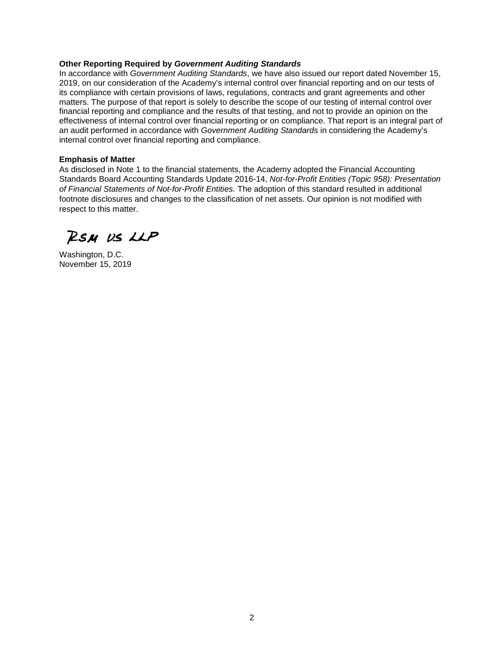#### **Other Reporting Required by** *Government Auditing Standards*

In accordance with *Government Auditing Standards*, we have also issued our report dated November 15, 2019, on our consideration of the Academy's internal control over financial reporting and on our tests of its compliance with certain provisions of laws, regulations, contracts and grant agreements and other matters. The purpose of that report is solely to describe the scope of our testing of internal control over financial reporting and compliance and the results of that testing, and not to provide an opinion on the effectiveness of internal control over financial reporting or on compliance. That report is an integral part of an audit performed in accordance with *Government Auditing Standards* in considering the Academy's internal control over financial reporting and compliance.

#### **Emphasis of Matter**

As disclosed in Note 1 to the financial statements, the Academy adopted the Financial Accounting Standards Board Accounting Standards Update 2016-14, *Not-for-Profit Entities (Topic 958): Presentation of Financial Statements of Not-for-Profit Entities.* The adoption of this standard resulted in additional footnote disclosures and changes to the classification of net assets. Our opinion is not modified with respect to this matter.

RSM US LLP

Washington, D.C. November 15, 2019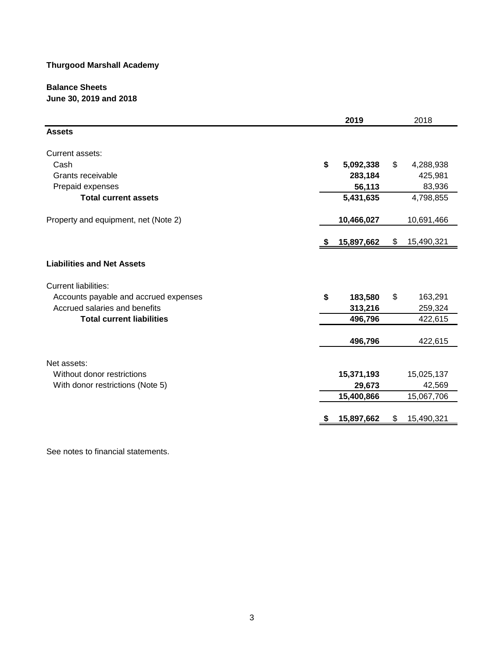# **Balance Sheets**

**June 30, 2019 and 2018**

|                                       |    | 2019       |    | 2018       |
|---------------------------------------|----|------------|----|------------|
| <b>Assets</b>                         |    |            |    |            |
| Current assets:                       |    |            |    |            |
| Cash                                  | \$ | 5,092,338  | \$ | 4,288,938  |
| Grants receivable                     |    | 283,184    |    | 425,981    |
| Prepaid expenses                      |    | 56,113     |    | 83,936     |
| <b>Total current assets</b>           |    | 5,431,635  |    | 4,798,855  |
| Property and equipment, net (Note 2)  |    | 10,466,027 |    | 10,691,466 |
|                                       | 5  | 15,897,662 | S. | 15,490,321 |
| <b>Liabilities and Net Assets</b>     |    |            |    |            |
| <b>Current liabilities:</b>           |    |            |    |            |
| Accounts payable and accrued expenses | \$ | 183,580    | \$ | 163,291    |
| Accrued salaries and benefits         |    | 313,216    |    | 259,324    |
| <b>Total current liabilities</b>      |    | 496,796    |    | 422,615    |
|                                       |    | 496,796    |    | 422,615    |
| Net assets:                           |    |            |    |            |
| Without donor restrictions            |    | 15,371,193 |    | 15,025,137 |
| With donor restrictions (Note 5)      |    | 29,673     |    | 42,569     |
|                                       |    | 15,400,866 |    | 15,067,706 |
|                                       |    |            |    |            |
|                                       |    | 15,897,662 | S. | 15,490,321 |

See notes to financial statements.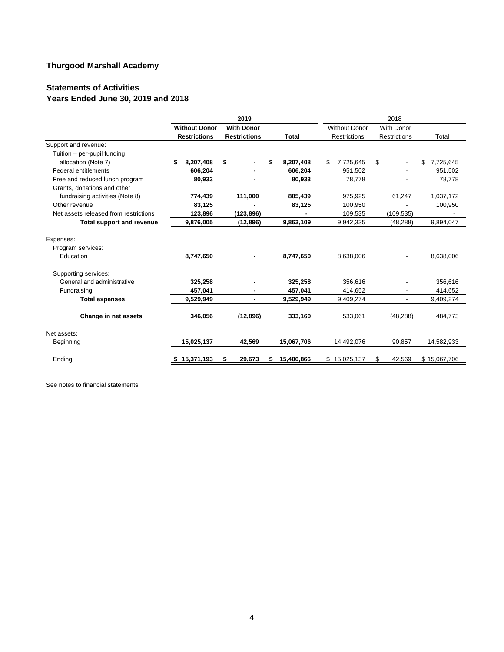# **Statements of Activities**

**Years Ended June 30, 2019 and 2018**

|                                       |   |                      | 2019                |                  |   |                      |    | 2018                     |                 |
|---------------------------------------|---|----------------------|---------------------|------------------|---|----------------------|----|--------------------------|-----------------|
|                                       |   | <b>Without Donor</b> | <b>With Donor</b>   |                  |   | <b>Without Donor</b> |    | <b>With Donor</b>        |                 |
|                                       |   | <b>Restrictions</b>  | <b>Restrictions</b> | <b>Total</b>     |   | Restrictions         |    | <b>Restrictions</b>      | Total           |
| Support and revenue:                  |   |                      |                     |                  |   |                      |    |                          |                 |
| Tuition - per-pupil funding           |   |                      |                     |                  |   |                      |    |                          |                 |
| allocation (Note 7)                   | S | 8,207,408            | \$                  | \$<br>8,207,408  | S | 7,725,645            | S  |                          | \$<br>7,725,645 |
| <b>Federal entitlements</b>           |   | 606,204              |                     | 606,204          |   | 951,502              |    |                          | 951,502         |
| Free and reduced lunch program        |   | 80,933               |                     | 80,933           |   | 78,778               |    |                          | 78,778          |
| Grants, donations and other           |   |                      |                     |                  |   |                      |    |                          |                 |
| fundraising activities (Note 8)       |   | 774,439              | 111,000             | 885,439          |   | 975,925              |    | 61,247                   | 1,037,172       |
| Other revenue                         |   | 83,125               |                     | 83,125           |   | 100,950              |    |                          | 100,950         |
| Net assets released from restrictions |   | 123,896              | (123,896)           |                  |   | 109,535              |    | (109, 535)               |                 |
| <b>Total support and revenue</b>      |   | 9,876,005            | (12, 896)           | 9,863,109        |   | 9,942,335            |    | (48, 288)                | 9,894,047       |
| Expenses:                             |   |                      |                     |                  |   |                      |    |                          |                 |
| Program services:                     |   |                      |                     |                  |   |                      |    |                          |                 |
| Education                             |   | 8,747,650            |                     | 8,747,650        |   | 8,638,006            |    |                          | 8,638,006       |
| Supporting services:                  |   |                      |                     |                  |   |                      |    |                          |                 |
| General and administrative            |   | 325,258              |                     | 325,258          |   | 356.616              |    |                          | 356,616         |
| Fundraising                           |   | 457,041              |                     | 457,041          |   | 414,652              |    |                          | 414,652         |
| <b>Total expenses</b>                 |   | 9,529,949            | $\blacksquare$      | 9,529,949        |   | 9,409,274            |    | $\overline{\phantom{a}}$ | 9,409,274       |
| Change in net assets                  |   | 346,056              | (12, 896)           | 333,160          |   | 533,061              |    | (48, 288)                | 484,773         |
| Net assets:                           |   |                      |                     |                  |   |                      |    |                          |                 |
| Beginning                             |   | 15,025,137           | 42,569              | 15,067,706       |   | 14,492,076           |    | 90,857                   | 14,582,933      |
| Ending                                |   | \$15,371,193         | \$<br>29,673        | \$<br>15,400,866 |   | \$15,025,137         | \$ | 42,569                   | \$15,067,706    |

See notes to financial statements.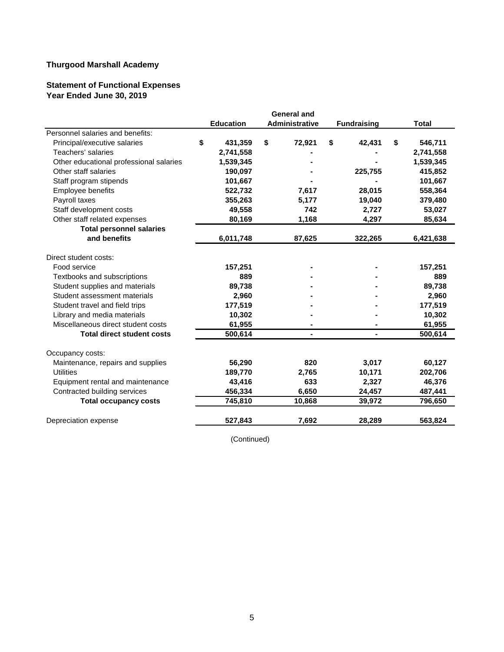#### **Statement of Functional Expenses Year Ended June 30, 2019**

|                                         |    | <b>Education</b> | <b>Administrative</b> | <b>Fundraising</b> | <b>Total</b>  |
|-----------------------------------------|----|------------------|-----------------------|--------------------|---------------|
| Personnel salaries and benefits:        |    |                  |                       |                    |               |
| Principal/executive salaries            | \$ | 431,359          | \$<br>72,921          | \$<br>42,431       | \$<br>546,711 |
| Teachers' salaries                      |    | 2,741,558        |                       |                    | 2,741,558     |
| Other educational professional salaries |    | 1,539,345        |                       |                    | 1,539,345     |
| Other staff salaries                    |    | 190,097          |                       | 225,755            | 415,852       |
| Staff program stipends                  |    | 101,667          |                       |                    | 101,667       |
| Employee benefits                       |    | 522,732          | 7,617                 | 28,015             | 558,364       |
| Payroll taxes                           |    | 355,263          | 5,177                 | 19,040             | 379,480       |
| Staff development costs                 |    | 49,558           | 742                   | 2,727              | 53,027        |
| Other staff related expenses            |    | 80,169           | 1,168                 | 4,297              | 85,634        |
| <b>Total personnel salaries</b>         |    |                  |                       |                    |               |
| and benefits                            |    | 6,011,748        | 87,625                | 322,265            | 6,421,638     |
| Direct student costs:                   |    |                  |                       |                    |               |
| Food service                            |    | 157,251          |                       |                    | 157,251       |
| Textbooks and subscriptions             |    | 889              |                       |                    | 889           |
| Student supplies and materials          |    | 89,738           |                       |                    | 89,738        |
| Student assessment materials            |    | 2,960            |                       |                    | 2,960         |
| Student travel and field trips          |    | 177,519          |                       |                    | 177,519       |
| Library and media materials             |    | 10,302           |                       |                    | 10,302        |
| Miscellaneous direct student costs      |    | 61,955           |                       |                    | 61,955        |
| <b>Total direct student costs</b>       |    | 500,614          | $\blacksquare$        | Ξ.                 | 500,614       |
| Occupancy costs:                        |    |                  |                       |                    |               |
| Maintenance, repairs and supplies       |    | 56,290           | 820                   | 3,017              | 60,127        |
| <b>Utilities</b>                        |    | 189,770          | 2,765                 | 10,171             | 202,706       |
| Equipment rental and maintenance        |    | 43,416           | 633                   | 2,327              | 46,376        |
| Contracted building services            |    | 456,334          | 6,650                 | 24,457             | 487,441       |
| <b>Total occupancy costs</b>            |    | 745,810          | 10,868                | 39,972             | 796,650       |
| Depreciation expense                    |    | 527,843          | 7,692                 | 28,289             | 563,824       |
|                                         |    |                  |                       |                    |               |

(Continued)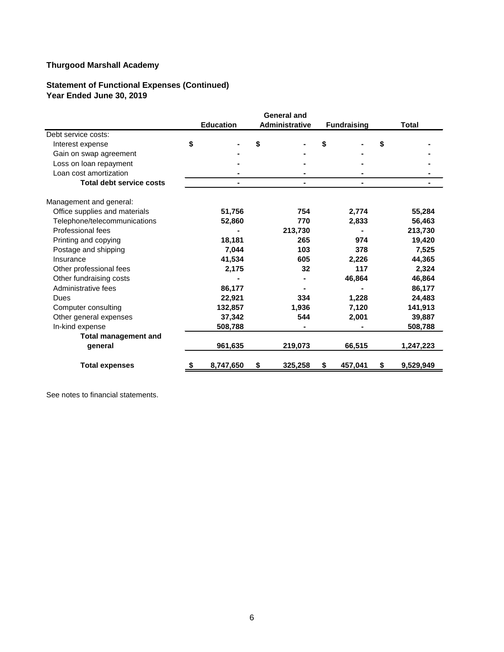## **Statement of Functional Expenses (Continued) Year Ended June 30, 2019**

|                                 |                  | General and           |                    |    |           |
|---------------------------------|------------------|-----------------------|--------------------|----|-----------|
|                                 | <b>Education</b> | <b>Administrative</b> | <b>Fundraising</b> |    | Total     |
| Debt service costs:             |                  |                       |                    |    |           |
| Interest expense                | \$               | \$                    | \$                 | \$ |           |
| Gain on swap agreement          |                  |                       |                    |    |           |
| Loss on loan repayment          |                  |                       |                    |    |           |
| Loan cost amortization          |                  |                       |                    |    |           |
| <b>Total debt service costs</b> | -                | $\blacksquare$        | $\blacksquare$     |    |           |
| Management and general:         |                  |                       |                    |    |           |
| Office supplies and materials   | 51,756           | 754                   | 2,774              |    | 55,284    |
| Telephone/telecommunications    | 52,860           | 770                   | 2,833              |    | 56,463    |
| Professional fees               |                  | 213,730               |                    |    | 213,730   |
| Printing and copying            | 18,181           | 265                   | 974                |    | 19,420    |
| Postage and shipping            | 7,044            | 103                   | 378                |    | 7,525     |
| Insurance                       | 41,534           | 605                   | 2,226              |    | 44,365    |
| Other professional fees         | 2,175            | 32                    | 117                |    | 2,324     |
| Other fundraising costs         |                  |                       | 46,864             |    | 46,864    |
| Administrative fees             | 86,177           |                       |                    |    | 86,177    |
| Dues                            | 22,921           | 334                   | 1,228              |    | 24,483    |
| Computer consulting             | 132,857          | 1,936                 | 7,120              |    | 141,913   |
| Other general expenses          | 37.342           | 544                   | 2,001              |    | 39,887    |
| In-kind expense                 | 508,788          |                       |                    |    | 508,788   |
| <b>Total management and</b>     |                  |                       |                    |    |           |
| general                         | 961,635          | 219,073               | 66,515             |    | 1,247,223 |
| <b>Total expenses</b>           | 8,747,650        | \$<br>325,258         | \$<br>457,041      | S  | 9,529,949 |

See notes to financial statements.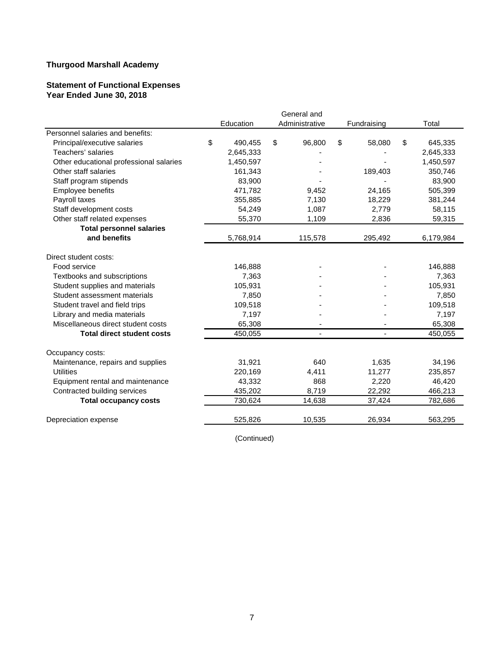#### **Statement of Functional Expenses Year Ended June 30, 2018**

|                                         | General and |           |    |                          |    |                |    |           |
|-----------------------------------------|-------------|-----------|----|--------------------------|----|----------------|----|-----------|
|                                         |             | Education |    | Administrative           |    | Fundraising    |    | Total     |
| Personnel salaries and benefits:        |             |           |    |                          |    |                |    |           |
| Principal/executive salaries            | \$          | 490,455   | \$ | 96,800                   | \$ | 58,080         | \$ | 645,335   |
| Teachers' salaries                      |             | 2,645,333 |    |                          |    |                |    | 2,645,333 |
| Other educational professional salaries |             | 1,450,597 |    |                          |    |                |    | 1,450,597 |
| Other staff salaries                    |             | 161,343   |    |                          |    | 189,403        |    | 350,746   |
| Staff program stipends                  |             | 83,900    |    |                          |    |                |    | 83,900    |
| Employee benefits                       |             | 471,782   |    | 9,452                    |    | 24,165         |    | 505,399   |
| Payroll taxes                           |             | 355,885   |    | 7,130                    |    | 18,229         |    | 381,244   |
| Staff development costs                 |             | 54,249    |    | 1,087                    |    | 2,779          |    | 58,115    |
| Other staff related expenses            |             | 55,370    |    | 1,109                    |    | 2,836          |    | 59,315    |
| <b>Total personnel salaries</b>         |             |           |    |                          |    |                |    |           |
| and benefits                            |             | 5,768,914 |    | 115,578                  |    | 295,492        |    | 6,179,984 |
| Direct student costs:                   |             |           |    |                          |    |                |    |           |
| Food service                            |             | 146,888   |    |                          |    |                |    | 146,888   |
| Textbooks and subscriptions             |             | 7,363     |    |                          |    |                |    | 7,363     |
| Student supplies and materials          |             | 105,931   |    |                          |    |                |    | 105,931   |
| Student assessment materials            |             | 7,850     |    |                          |    |                |    | 7,850     |
| Student travel and field trips          |             | 109,518   |    |                          |    |                |    | 109,518   |
| Library and media materials             |             | 7,197     |    |                          |    |                |    | 7,197     |
| Miscellaneous direct student costs      |             | 65,308    |    |                          |    |                |    | 65,308    |
| <b>Total direct student costs</b>       |             | 450,055   |    | $\overline{\phantom{a}}$ |    | $\blacksquare$ |    | 450,055   |
| Occupancy costs:                        |             |           |    |                          |    |                |    |           |
| Maintenance, repairs and supplies       |             | 31,921    |    | 640                      |    | 1,635          |    | 34,196    |
| <b>Utilities</b>                        |             | 220,169   |    | 4,411                    |    | 11,277         |    | 235,857   |
| Equipment rental and maintenance        |             | 43,332    |    | 868                      |    | 2,220          |    | 46,420    |
| Contracted building services            |             | 435,202   |    | 8,719                    |    | 22,292         |    | 466,213   |
| <b>Total occupancy costs</b>            |             | 730,624   |    | 14,638                   |    | 37,424         |    | 782,686   |
| Depreciation expense                    |             | 525,826   |    | 10,535                   |    | 26,934         |    | 563,295   |
|                                         |             |           |    |                          |    |                |    |           |

(Continued)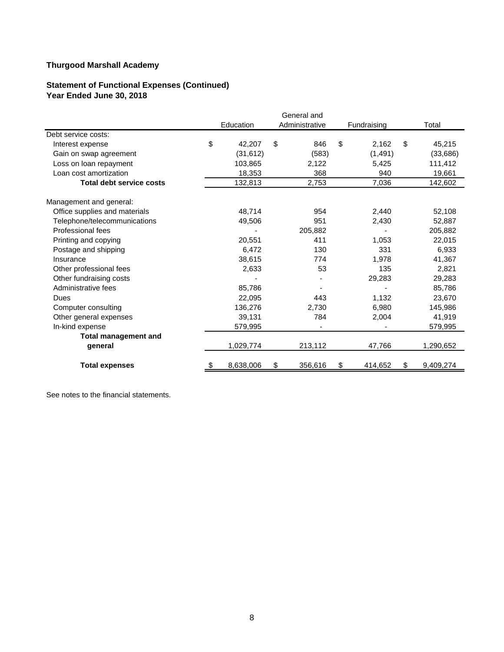## **Statement of Functional Expenses (Continued) Year Ended June 30, 2018**

|                               |                 | General and    |               |                 |
|-------------------------------|-----------------|----------------|---------------|-----------------|
|                               | Education       | Administrative | Fundraising   | Total           |
| Debt service costs:           |                 |                |               |                 |
| Interest expense              | \$<br>42,207    | \$<br>846      | \$<br>2,162   | \$<br>45,215    |
| Gain on swap agreement        | (31, 612)       | (583)          | (1, 491)      | (33,686)        |
| Loss on loan repayment        | 103.865         | 2,122          | 5,425         | 111,412         |
| Loan cost amortization        | 18,353          | 368            | 940           | 19,661          |
| Total debt service costs      | 132,813         | 2,753          | 7,036         | 142,602         |
| Management and general:       |                 |                |               |                 |
| Office supplies and materials | 48,714          | 954            | 2,440         | 52,108          |
| Telephone/telecommunications  | 49,506          | 951            | 2,430         | 52,887          |
| Professional fees             |                 | 205,882        |               | 205,882         |
| Printing and copying          | 20,551          | 411            | 1,053         | 22,015          |
| Postage and shipping          | 6,472           | 130            | 331           | 6,933           |
| Insurance                     | 38,615          | 774            | 1,978         | 41,367          |
| Other professional fees       | 2,633           | 53             | 135           | 2,821           |
| Other fundraising costs       |                 |                | 29,283        | 29,283          |
| Administrative fees           | 85,786          |                |               | 85,786          |
| Dues                          | 22,095          | 443            | 1,132         | 23,670          |
| Computer consulting           | 136,276         | 2,730          | 6,980         | 145,986         |
| Other general expenses        | 39,131          | 784            | 2,004         | 41,919          |
| In-kind expense               | 579,995         |                |               | 579,995         |
| <b>Total management and</b>   |                 |                |               |                 |
| general                       | 1,029,774       | 213,112        | 47,766        | 1,290,652       |
| <b>Total expenses</b>         | \$<br>8,638,006 | \$<br>356,616  | \$<br>414,652 | \$<br>9,409,274 |

See notes to the financial statements.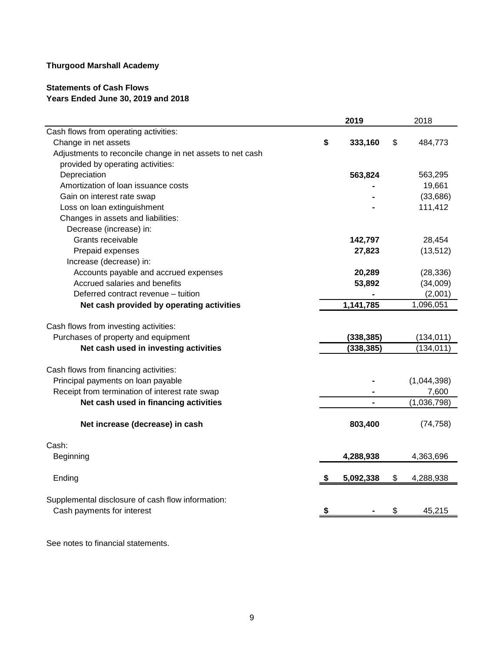# **Statements of Cash Flows Years Ended June 30, 2019 and 2018**

| Cash flows from operating activities:<br>Change in net assets<br>\$<br>333,160<br>\$<br>484,773<br>Adjustments to reconcile change in net assets to net cash<br>provided by operating activities:<br>Depreciation<br>563,824<br>563,295<br>Amortization of loan issuance costs<br>19,661<br>(33,686)<br>Gain on interest rate swap<br>111,412<br>Loss on loan extinguishment<br>Changes in assets and liabilities:<br>Decrease (increase) in:<br>Grants receivable<br>142,797<br>28,454<br>Prepaid expenses<br>27,823<br>(13, 512)<br>Increase (decrease) in:<br>Accounts payable and accrued expenses<br>(28, 336)<br>20,289<br>Accrued salaries and benefits<br>53,892<br>(34,009)<br>Deferred contract revenue - tuition<br>(2,001)<br>1,141,785<br>1,096,051<br>Net cash provided by operating activities<br>Cash flows from investing activities:<br>Purchases of property and equipment<br>(338, 385)<br>(134, 011)<br>Net cash used in investing activities<br>(338, 385)<br>(134, 011)<br>Cash flows from financing activities:<br>Principal payments on loan payable<br>(1,044,398)<br>Receipt from termination of interest rate swap<br>7,600<br>Net cash used in financing activities<br>(1,036,798)<br>803,400<br>Net increase (decrease) in cash<br>(74, 758)<br>Cash:<br>Beginning<br>4,288,938<br>4,363,696<br>Ending<br>5,092,338<br>\$<br>4,288,938<br>Supplemental disclosure of cash flow information:<br>Cash payments for interest<br>\$<br>45,215<br>\$ |  | 2019 | 2018 |
|-------------------------------------------------------------------------------------------------------------------------------------------------------------------------------------------------------------------------------------------------------------------------------------------------------------------------------------------------------------------------------------------------------------------------------------------------------------------------------------------------------------------------------------------------------------------------------------------------------------------------------------------------------------------------------------------------------------------------------------------------------------------------------------------------------------------------------------------------------------------------------------------------------------------------------------------------------------------------------------------------------------------------------------------------------------------------------------------------------------------------------------------------------------------------------------------------------------------------------------------------------------------------------------------------------------------------------------------------------------------------------------------------------------------------------------------------------------------------------|--|------|------|
|                                                                                                                                                                                                                                                                                                                                                                                                                                                                                                                                                                                                                                                                                                                                                                                                                                                                                                                                                                                                                                                                                                                                                                                                                                                                                                                                                                                                                                                                               |  |      |      |
|                                                                                                                                                                                                                                                                                                                                                                                                                                                                                                                                                                                                                                                                                                                                                                                                                                                                                                                                                                                                                                                                                                                                                                                                                                                                                                                                                                                                                                                                               |  |      |      |
|                                                                                                                                                                                                                                                                                                                                                                                                                                                                                                                                                                                                                                                                                                                                                                                                                                                                                                                                                                                                                                                                                                                                                                                                                                                                                                                                                                                                                                                                               |  |      |      |
|                                                                                                                                                                                                                                                                                                                                                                                                                                                                                                                                                                                                                                                                                                                                                                                                                                                                                                                                                                                                                                                                                                                                                                                                                                                                                                                                                                                                                                                                               |  |      |      |
|                                                                                                                                                                                                                                                                                                                                                                                                                                                                                                                                                                                                                                                                                                                                                                                                                                                                                                                                                                                                                                                                                                                                                                                                                                                                                                                                                                                                                                                                               |  |      |      |
|                                                                                                                                                                                                                                                                                                                                                                                                                                                                                                                                                                                                                                                                                                                                                                                                                                                                                                                                                                                                                                                                                                                                                                                                                                                                                                                                                                                                                                                                               |  |      |      |
|                                                                                                                                                                                                                                                                                                                                                                                                                                                                                                                                                                                                                                                                                                                                                                                                                                                                                                                                                                                                                                                                                                                                                                                                                                                                                                                                                                                                                                                                               |  |      |      |
|                                                                                                                                                                                                                                                                                                                                                                                                                                                                                                                                                                                                                                                                                                                                                                                                                                                                                                                                                                                                                                                                                                                                                                                                                                                                                                                                                                                                                                                                               |  |      |      |
|                                                                                                                                                                                                                                                                                                                                                                                                                                                                                                                                                                                                                                                                                                                                                                                                                                                                                                                                                                                                                                                                                                                                                                                                                                                                                                                                                                                                                                                                               |  |      |      |
|                                                                                                                                                                                                                                                                                                                                                                                                                                                                                                                                                                                                                                                                                                                                                                                                                                                                                                                                                                                                                                                                                                                                                                                                                                                                                                                                                                                                                                                                               |  |      |      |
|                                                                                                                                                                                                                                                                                                                                                                                                                                                                                                                                                                                                                                                                                                                                                                                                                                                                                                                                                                                                                                                                                                                                                                                                                                                                                                                                                                                                                                                                               |  |      |      |
|                                                                                                                                                                                                                                                                                                                                                                                                                                                                                                                                                                                                                                                                                                                                                                                                                                                                                                                                                                                                                                                                                                                                                                                                                                                                                                                                                                                                                                                                               |  |      |      |
|                                                                                                                                                                                                                                                                                                                                                                                                                                                                                                                                                                                                                                                                                                                                                                                                                                                                                                                                                                                                                                                                                                                                                                                                                                                                                                                                                                                                                                                                               |  |      |      |
|                                                                                                                                                                                                                                                                                                                                                                                                                                                                                                                                                                                                                                                                                                                                                                                                                                                                                                                                                                                                                                                                                                                                                                                                                                                                                                                                                                                                                                                                               |  |      |      |
|                                                                                                                                                                                                                                                                                                                                                                                                                                                                                                                                                                                                                                                                                                                                                                                                                                                                                                                                                                                                                                                                                                                                                                                                                                                                                                                                                                                                                                                                               |  |      |      |
|                                                                                                                                                                                                                                                                                                                                                                                                                                                                                                                                                                                                                                                                                                                                                                                                                                                                                                                                                                                                                                                                                                                                                                                                                                                                                                                                                                                                                                                                               |  |      |      |
|                                                                                                                                                                                                                                                                                                                                                                                                                                                                                                                                                                                                                                                                                                                                                                                                                                                                                                                                                                                                                                                                                                                                                                                                                                                                                                                                                                                                                                                                               |  |      |      |
|                                                                                                                                                                                                                                                                                                                                                                                                                                                                                                                                                                                                                                                                                                                                                                                                                                                                                                                                                                                                                                                                                                                                                                                                                                                                                                                                                                                                                                                                               |  |      |      |
|                                                                                                                                                                                                                                                                                                                                                                                                                                                                                                                                                                                                                                                                                                                                                                                                                                                                                                                                                                                                                                                                                                                                                                                                                                                                                                                                                                                                                                                                               |  |      |      |
|                                                                                                                                                                                                                                                                                                                                                                                                                                                                                                                                                                                                                                                                                                                                                                                                                                                                                                                                                                                                                                                                                                                                                                                                                                                                                                                                                                                                                                                                               |  |      |      |
|                                                                                                                                                                                                                                                                                                                                                                                                                                                                                                                                                                                                                                                                                                                                                                                                                                                                                                                                                                                                                                                                                                                                                                                                                                                                                                                                                                                                                                                                               |  |      |      |
|                                                                                                                                                                                                                                                                                                                                                                                                                                                                                                                                                                                                                                                                                                                                                                                                                                                                                                                                                                                                                                                                                                                                                                                                                                                                                                                                                                                                                                                                               |  |      |      |
|                                                                                                                                                                                                                                                                                                                                                                                                                                                                                                                                                                                                                                                                                                                                                                                                                                                                                                                                                                                                                                                                                                                                                                                                                                                                                                                                                                                                                                                                               |  |      |      |
|                                                                                                                                                                                                                                                                                                                                                                                                                                                                                                                                                                                                                                                                                                                                                                                                                                                                                                                                                                                                                                                                                                                                                                                                                                                                                                                                                                                                                                                                               |  |      |      |
|                                                                                                                                                                                                                                                                                                                                                                                                                                                                                                                                                                                                                                                                                                                                                                                                                                                                                                                                                                                                                                                                                                                                                                                                                                                                                                                                                                                                                                                                               |  |      |      |
|                                                                                                                                                                                                                                                                                                                                                                                                                                                                                                                                                                                                                                                                                                                                                                                                                                                                                                                                                                                                                                                                                                                                                                                                                                                                                                                                                                                                                                                                               |  |      |      |
|                                                                                                                                                                                                                                                                                                                                                                                                                                                                                                                                                                                                                                                                                                                                                                                                                                                                                                                                                                                                                                                                                                                                                                                                                                                                                                                                                                                                                                                                               |  |      |      |
|                                                                                                                                                                                                                                                                                                                                                                                                                                                                                                                                                                                                                                                                                                                                                                                                                                                                                                                                                                                                                                                                                                                                                                                                                                                                                                                                                                                                                                                                               |  |      |      |
|                                                                                                                                                                                                                                                                                                                                                                                                                                                                                                                                                                                                                                                                                                                                                                                                                                                                                                                                                                                                                                                                                                                                                                                                                                                                                                                                                                                                                                                                               |  |      |      |
|                                                                                                                                                                                                                                                                                                                                                                                                                                                                                                                                                                                                                                                                                                                                                                                                                                                                                                                                                                                                                                                                                                                                                                                                                                                                                                                                                                                                                                                                               |  |      |      |
|                                                                                                                                                                                                                                                                                                                                                                                                                                                                                                                                                                                                                                                                                                                                                                                                                                                                                                                                                                                                                                                                                                                                                                                                                                                                                                                                                                                                                                                                               |  |      |      |
|                                                                                                                                                                                                                                                                                                                                                                                                                                                                                                                                                                                                                                                                                                                                                                                                                                                                                                                                                                                                                                                                                                                                                                                                                                                                                                                                                                                                                                                                               |  |      |      |
|                                                                                                                                                                                                                                                                                                                                                                                                                                                                                                                                                                                                                                                                                                                                                                                                                                                                                                                                                                                                                                                                                                                                                                                                                                                                                                                                                                                                                                                                               |  |      |      |

See notes to financial statements.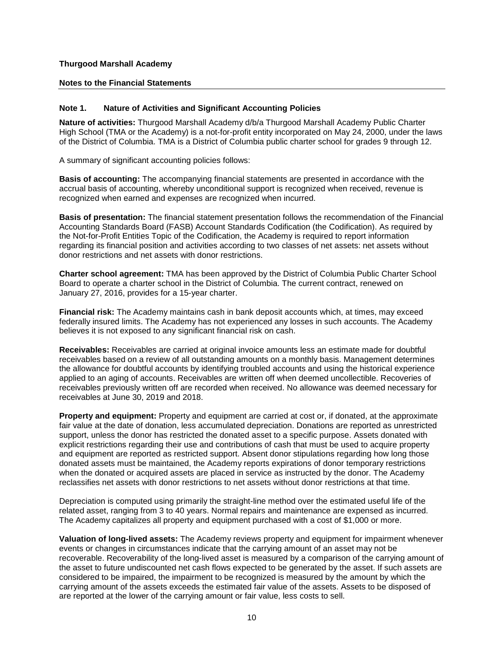#### **Notes to the Financial Statements**

#### **Note 1. Nature of Activities and Significant Accounting Policies**

**Nature of activities:** Thurgood Marshall Academy d/b/a Thurgood Marshall Academy Public Charter High School (TMA or the Academy) is a not-for-profit entity incorporated on May 24, 2000, under the laws of the District of Columbia. TMA is a District of Columbia public charter school for grades 9 through 12.

A summary of significant accounting policies follows:

**Basis of accounting:** The accompanying financial statements are presented in accordance with the accrual basis of accounting, whereby unconditional support is recognized when received, revenue is recognized when earned and expenses are recognized when incurred.

**Basis of presentation:** The financial statement presentation follows the recommendation of the Financial Accounting Standards Board (FASB) Account Standards Codification (the Codification). As required by the Not-for-Profit Entities Topic of the Codification, the Academy is required to report information regarding its financial position and activities according to two classes of net assets: net assets without donor restrictions and net assets with donor restrictions.

**Charter school agreement:** TMA has been approved by the District of Columbia Public Charter School Board to operate a charter school in the District of Columbia. The current contract, renewed on January 27, 2016, provides for a 15-year charter.

**Financial risk:** The Academy maintains cash in bank deposit accounts which, at times, may exceed federally insured limits. The Academy has not experienced any losses in such accounts. The Academy believes it is not exposed to any significant financial risk on cash.

**Receivables:** Receivables are carried at original invoice amounts less an estimate made for doubtful receivables based on a review of all outstanding amounts on a monthly basis. Management determines the allowance for doubtful accounts by identifying troubled accounts and using the historical experience applied to an aging of accounts. Receivables are written off when deemed uncollectible. Recoveries of receivables previously written off are recorded when received. No allowance was deemed necessary for receivables at June 30, 2019 and 2018.

**Property and equipment:** Property and equipment are carried at cost or, if donated, at the approximate fair value at the date of donation, less accumulated depreciation. Donations are reported as unrestricted support, unless the donor has restricted the donated asset to a specific purpose. Assets donated with explicit restrictions regarding their use and contributions of cash that must be used to acquire property and equipment are reported as restricted support. Absent donor stipulations regarding how long those donated assets must be maintained, the Academy reports expirations of donor temporary restrictions when the donated or acquired assets are placed in service as instructed by the donor. The Academy reclassifies net assets with donor restrictions to net assets without donor restrictions at that time.

Depreciation is computed using primarily the straight-line method over the estimated useful life of the related asset, ranging from 3 to 40 years. Normal repairs and maintenance are expensed as incurred. The Academy capitalizes all property and equipment purchased with a cost of \$1,000 or more.

**Valuation of long-lived assets:** The Academy reviews property and equipment for impairment whenever events or changes in circumstances indicate that the carrying amount of an asset may not be recoverable. Recoverability of the long-lived asset is measured by a comparison of the carrying amount of the asset to future undiscounted net cash flows expected to be generated by the asset. If such assets are considered to be impaired, the impairment to be recognized is measured by the amount by which the carrying amount of the assets exceeds the estimated fair value of the assets. Assets to be disposed of are reported at the lower of the carrying amount or fair value, less costs to sell.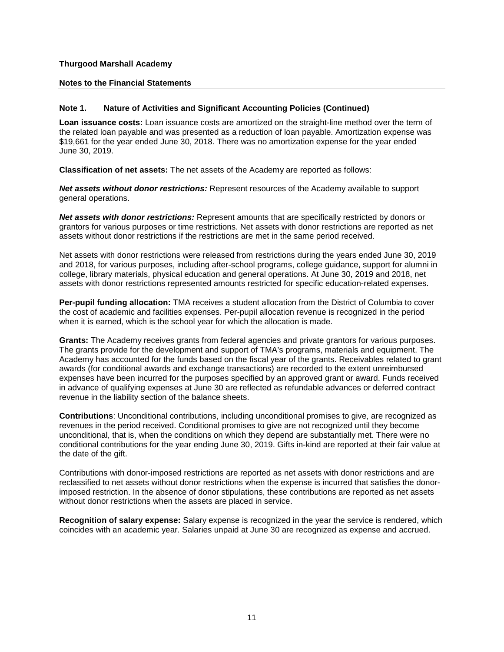#### **Notes to the Financial Statements**

#### **Note 1. Nature of Activities and Significant Accounting Policies (Continued)**

**Loan issuance costs:** Loan issuance costs are amortized on the straight-line method over the term of the related loan payable and was presented as a reduction of loan payable. Amortization expense was \$19,661 for the year ended June 30, 2018. There was no amortization expense for the year ended June 30, 2019.

**Classification of net assets:** The net assets of the Academy are reported as follows:

*Net assets without donor restrictions:* Represent resources of the Academy available to support general operations.

*Net assets with donor restrictions:* Represent amounts that are specifically restricted by donors or grantors for various purposes or time restrictions. Net assets with donor restrictions are reported as net assets without donor restrictions if the restrictions are met in the same period received.

Net assets with donor restrictions were released from restrictions during the years ended June 30, 2019 and 2018, for various purposes, including after-school programs, college guidance, support for alumni in college, library materials, physical education and general operations. At June 30, 2019 and 2018, net assets with donor restrictions represented amounts restricted for specific education-related expenses.

**Per-pupil funding allocation:** TMA receives a student allocation from the District of Columbia to cover the cost of academic and facilities expenses. Per-pupil allocation revenue is recognized in the period when it is earned, which is the school year for which the allocation is made.

**Grants:** The Academy receives grants from federal agencies and private grantors for various purposes. The grants provide for the development and support of TMA's programs, materials and equipment. The Academy has accounted for the funds based on the fiscal year of the grants. Receivables related to grant awards (for conditional awards and exchange transactions) are recorded to the extent unreimbursed expenses have been incurred for the purposes specified by an approved grant or award. Funds received in advance of qualifying expenses at June 30 are reflected as refundable advances or deferred contract revenue in the liability section of the balance sheets.

**Contributions**: Unconditional contributions, including unconditional promises to give, are recognized as revenues in the period received. Conditional promises to give are not recognized until they become unconditional, that is, when the conditions on which they depend are substantially met. There were no conditional contributions for the year ending June 30, 2019. Gifts in-kind are reported at their fair value at the date of the gift.

Contributions with donor-imposed restrictions are reported as net assets with donor restrictions and are reclassified to net assets without donor restrictions when the expense is incurred that satisfies the donorimposed restriction. In the absence of donor stipulations, these contributions are reported as net assets without donor restrictions when the assets are placed in service.

**Recognition of salary expense:** Salary expense is recognized in the year the service is rendered, which coincides with an academic year. Salaries unpaid at June 30 are recognized as expense and accrued.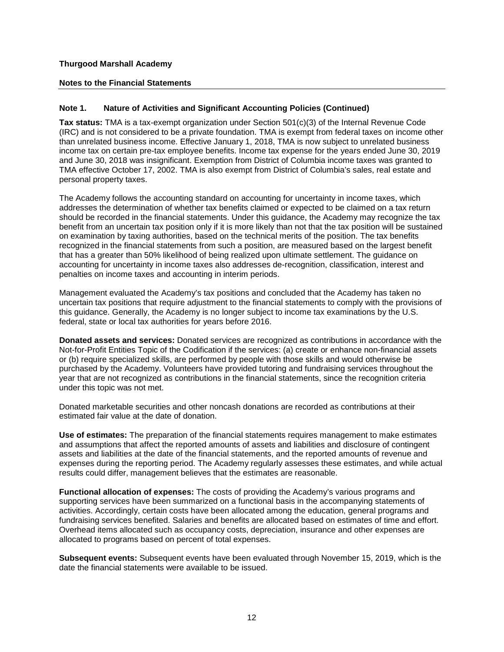#### **Notes to the Financial Statements**

### **Note 1. Nature of Activities and Significant Accounting Policies (Continued)**

**Tax status:** TMA is a tax-exempt organization under Section 501(c)(3) of the Internal Revenue Code (IRC) and is not considered to be a private foundation. TMA is exempt from federal taxes on income other than unrelated business income. Effective January 1, 2018, TMA is now subject to unrelated business income tax on certain pre-tax employee benefits. Income tax expense for the years ended June 30, 2019 and June 30, 2018 was insignificant. Exemption from District of Columbia income taxes was granted to TMA effective October 17, 2002. TMA is also exempt from District of Columbia's sales, real estate and personal property taxes.

The Academy follows the accounting standard on accounting for uncertainty in income taxes, which addresses the determination of whether tax benefits claimed or expected to be claimed on a tax return should be recorded in the financial statements. Under this guidance, the Academy may recognize the tax benefit from an uncertain tax position only if it is more likely than not that the tax position will be sustained on examination by taxing authorities, based on the technical merits of the position. The tax benefits recognized in the financial statements from such a position, are measured based on the largest benefit that has a greater than 50% likelihood of being realized upon ultimate settlement. The guidance on accounting for uncertainty in income taxes also addresses de-recognition, classification, interest and penalties on income taxes and accounting in interim periods.

Management evaluated the Academy's tax positions and concluded that the Academy has taken no uncertain tax positions that require adjustment to the financial statements to comply with the provisions of this guidance. Generally, the Academy is no longer subject to income tax examinations by the U.S. federal, state or local tax authorities for years before 2016.

**Donated assets and services:** Donated services are recognized as contributions in accordance with the Not-for-Profit Entities Topic of the Codification if the services: (a) create or enhance non-financial assets or (b) require specialized skills, are performed by people with those skills and would otherwise be purchased by the Academy. Volunteers have provided tutoring and fundraising services throughout the year that are not recognized as contributions in the financial statements, since the recognition criteria under this topic was not met.

Donated marketable securities and other noncash donations are recorded as contributions at their estimated fair value at the date of donation.

**Use of estimates:** The preparation of the financial statements requires management to make estimates and assumptions that affect the reported amounts of assets and liabilities and disclosure of contingent assets and liabilities at the date of the financial statements, and the reported amounts of revenue and expenses during the reporting period. The Academy regularly assesses these estimates, and while actual results could differ, management believes that the estimates are reasonable.

**Functional allocation of expenses:** The costs of providing the Academy's various programs and supporting services have been summarized on a functional basis in the accompanying statements of activities. Accordingly, certain costs have been allocated among the education, general programs and fundraising services benefited. Salaries and benefits are allocated based on estimates of time and effort. Overhead items allocated such as occupancy costs, depreciation, insurance and other expenses are allocated to programs based on percent of total expenses.

**Subsequent events:** Subsequent events have been evaluated through November 15, 2019, which is the date the financial statements were available to be issued.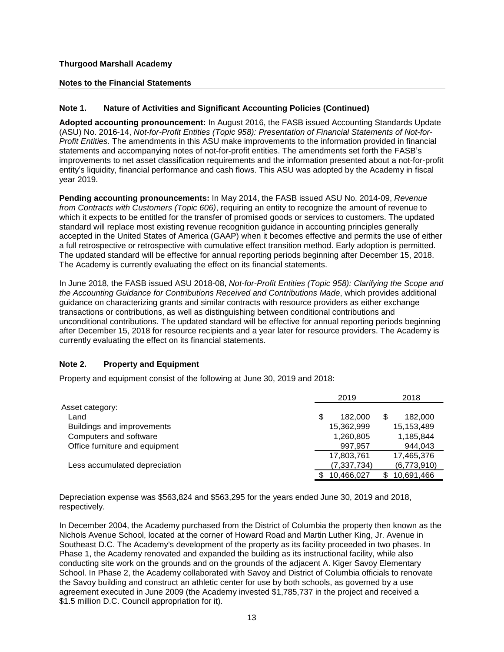## **Notes to the Financial Statements**

## **Note 1. Nature of Activities and Significant Accounting Policies (Continued)**

**Adopted accounting pronouncement:** In August 2016, the FASB issued Accounting Standards Update (ASU) No. 2016-14, *Not-for-Profit Entities (Topic 958): Presentation of Financial Statements of Not-for-Profit Entities*. The amendments in this ASU make improvements to the information provided in financial statements and accompanying notes of not-for-profit entities. The amendments set forth the FASB's improvements to net asset classification requirements and the information presented about a not-for-profit entity's liquidity, financial performance and cash flows. This ASU was adopted by the Academy in fiscal year 2019.

**Pending accounting pronouncements:** In May 2014, the FASB issued ASU No. 2014-09, *Revenue from Contracts with Customers (Topic 606)*, requiring an entity to recognize the amount of revenue to which it expects to be entitled for the transfer of promised goods or services to customers. The updated standard will replace most existing revenue recognition guidance in accounting principles generally accepted in the United States of America (GAAP) when it becomes effective and permits the use of either a full retrospective or retrospective with cumulative effect transition method. Early adoption is permitted. The updated standard will be effective for annual reporting periods beginning after December 15, 2018. The Academy is currently evaluating the effect on its financial statements.

In June 2018, the FASB issued ASU 2018-08, *Not-for-Profit Entities (Topic 958): Clarifying the Scope and the Accounting Guidance for Contributions Received and Contributions Made*, which provides additional guidance on characterizing grants and similar contracts with resource providers as either exchange transactions or contributions, as well as distinguishing between conditional contributions and unconditional contributions. The updated standard will be effective for annual reporting periods beginning after December 15, 2018 for resource recipients and a year later for resource providers. The Academy is currently evaluating the effect on its financial statements.

# **Note 2. Property and Equipment**

Property and equipment consist of the following at June 30, 2019 and 2018:

|                                | 2019          | 2018        |
|--------------------------------|---------------|-------------|
| Asset category:                |               |             |
| Land                           | \$<br>182,000 | 182,000     |
| Buildings and improvements     | 15,362,999    | 15,153,489  |
| Computers and software         | 1,260,805     | 1,185,844   |
| Office furniture and equipment | 997,957       | 944,043     |
|                                | 17,803,761    | 17,465,376  |
| Less accumulated depreciation  | (7, 337, 734) | (6,773,910) |
|                                | 10,466,027    | 10,691,466  |

Depreciation expense was \$563,824 and \$563,295 for the years ended June 30, 2019 and 2018, respectively.

In December 2004, the Academy purchased from the District of Columbia the property then known as the Nichols Avenue School, located at the corner of Howard Road and Martin Luther King, Jr. Avenue in Southeast D.C. The Academy's development of the property as its facility proceeded in two phases. In Phase 1, the Academy renovated and expanded the building as its instructional facility, while also conducting site work on the grounds and on the grounds of the adjacent A. Kiger Savoy Elementary School. In Phase 2, the Academy collaborated with Savoy and District of Columbia officials to renovate the Savoy building and construct an athletic center for use by both schools, as governed by a use agreement executed in June 2009 (the Academy invested \$1,785,737 in the project and received a \$1.5 million D.C. Council appropriation for it).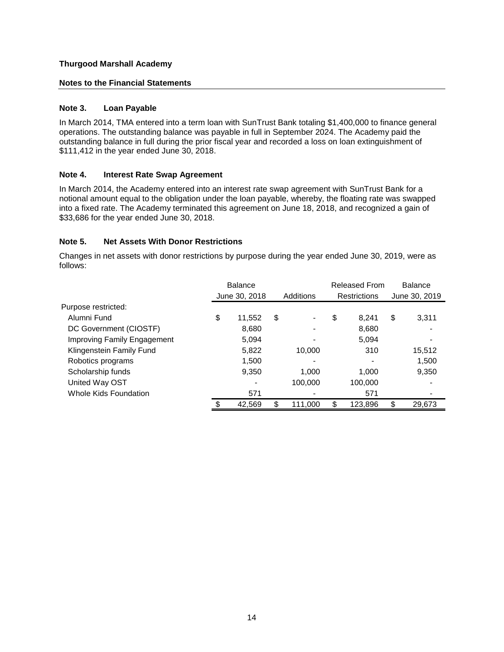#### **Notes to the Financial Statements**

## **Note 3. Loan Payable**

In March 2014, TMA entered into a term loan with SunTrust Bank totaling \$1,400,000 to finance general operations. The outstanding balance was payable in full in September 2024. The Academy paid the outstanding balance in full during the prior fiscal year and recorded a loss on loan extinguishment of \$111,412 in the year ended June 30, 2018.

## **Note 4. Interest Rate Swap Agreement**

In March 2014, the Academy entered into an interest rate swap agreement with SunTrust Bank for a notional amount equal to the obligation under the loan payable, whereby, the floating rate was swapped into a fixed rate. The Academy terminated this agreement on June 18, 2018, and recognized a gain of \$33,686 for the year ended June 30, 2018.

## **Note 5. Net Assets With Donor Restrictions**

Changes in net assets with donor restrictions by purpose during the year ended June 30, 2019, were as follows:

|                             | <b>Balance</b> |                                    | <b>Released From</b> | <b>Balance</b> |
|-----------------------------|----------------|------------------------------------|----------------------|----------------|
|                             | June 30, 2018  | Additions                          | <b>Restrictions</b>  | June 30, 2019  |
| Purpose restricted:         |                |                                    |                      |                |
| Alumni Fund                 | \$<br>11.552   | \$<br>$\qquad \qquad \blacksquare$ | \$<br>8.241          | \$<br>3,311    |
| DC Government (CIOSTF)      | 8,680          |                                    | 8,680                |                |
| Improving Family Engagement | 5,094          |                                    | 5,094                |                |
| Klingenstein Family Fund    | 5,822          | 10.000                             | 310                  | 15,512         |
| Robotics programs           | 1,500          |                                    |                      | 1,500          |
| Scholarship funds           | 9.350          | 1.000                              | 1.000                | 9,350          |
| United Way OST              |                | 100,000                            | 100,000              |                |
| Whole Kids Foundation       | 571            |                                    | 571                  |                |
|                             | 42,569         | \$<br>111,000                      | 123,896              | \$<br>29,673   |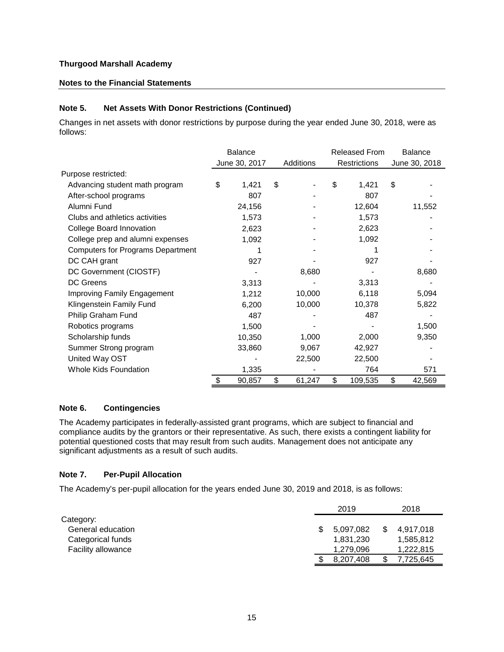## **Notes to the Financial Statements**

## **Note 5. Net Assets With Donor Restrictions (Continued)**

Changes in net assets with donor restrictions by purpose during the year ended June 30, 2018, were as follows:

|                                   | <b>Balance</b> |               |    | <b>Released From</b> | <b>Balance</b> |    |               |
|-----------------------------------|----------------|---------------|----|----------------------|----------------|----|---------------|
|                                   |                | June 30, 2017 |    | Additions            | Restrictions   |    | June 30, 2018 |
| Purpose restricted:               |                |               |    |                      |                |    |               |
| Advancing student math program    | \$             | 1,421         | \$ |                      | \$<br>1,421    | \$ |               |
| After-school programs             |                | 807           |    |                      | 807            |    |               |
| Alumni Fund                       |                | 24,156        |    |                      | 12,604         |    | 11,552        |
| Clubs and athletics activities    |                | 1,573         |    |                      | 1,573          |    |               |
| College Board Innovation          |                | 2,623         |    |                      | 2,623          |    |               |
| College prep and alumni expenses  |                | 1,092         |    |                      | 1,092          |    |               |
| Computers for Programs Department |                |               |    |                      |                |    |               |
| DC CAH grant                      |                | 927           |    |                      | 927            |    |               |
| DC Government (CIOSTF)            |                |               |    | 8,680                |                |    | 8,680         |
| DC Greens                         |                | 3,313         |    |                      | 3,313          |    |               |
| Improving Family Engagement       |                | 1,212         |    | 10,000               | 6,118          |    | 5,094         |
| Klingenstein Family Fund          |                | 6,200         |    | 10,000               | 10,378         |    | 5,822         |
| Philip Graham Fund                |                | 487           |    |                      | 487            |    |               |
| Robotics programs                 |                | 1,500         |    |                      |                |    | 1,500         |
| Scholarship funds                 |                | 10,350        |    | 1,000                | 2,000          |    | 9,350         |
| Summer Strong program             |                | 33,860        |    | 9,067                | 42,927         |    |               |
| United Way OST                    |                |               |    | 22,500               | 22,500         |    |               |
| <b>Whole Kids Foundation</b>      |                | 1,335         |    |                      | 764            |    | 571           |
|                                   | \$             | 90,857        | \$ | 61,247               | \$<br>109,535  | \$ | 42,569        |

# **Note 6. Contingencies**

The Academy participates in federally-assisted grant programs, which are subject to financial and compliance audits by the grantors or their representative. As such, there exists a contingent liability for potential questioned costs that may result from such audits. Management does not anticipate any significant adjustments as a result of such audits.

#### **Note 7. Per-Pupil Allocation**

The Academy's per-pupil allocation for the years ended June 30, 2019 and 2018, is as follows:

|                           | 2019      | 2018      |
|---------------------------|-----------|-----------|
| Category:                 |           |           |
| General education         | 5,097,082 | 4,917,018 |
| Categorical funds         | 1,831,230 | 1,585,812 |
| <b>Facility allowance</b> | 1,279,096 | 1,222,815 |
|                           | 8,207,408 | 7,725,645 |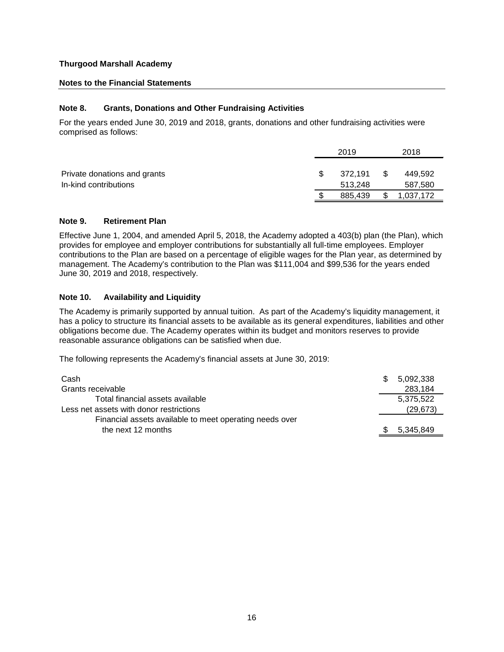### **Notes to the Financial Statements**

## **Note 8. Grants, Donations and Other Fundraising Activities**

For the years ended June 30, 2019 and 2018, grants, donations and other fundraising activities were comprised as follows:

|                              | 2019    |         |   | 2018      |  |
|------------------------------|---------|---------|---|-----------|--|
| Private donations and grants | 372.191 |         | S | 449,592   |  |
| In-kind contributions        |         | 513.248 |   | 587,580   |  |
|                              |         | 885,439 |   | 1,037,172 |  |

## **Note 9. Retirement Plan**

Effective June 1, 2004, and amended April 5, 2018, the Academy adopted a 403(b) plan (the Plan), which provides for employee and employer contributions for substantially all full-time employees. Employer contributions to the Plan are based on a percentage of eligible wages for the Plan year, as determined by management. The Academy's contribution to the Plan was \$111,004 and \$99,536 for the years ended June 30, 2019 and 2018, respectively.

# **Note 10. Availability and Liquidity**

The Academy is primarily supported by annual tuition. As part of the Academy's liquidity management, it has a policy to structure its financial assets to be available as its general expenditures, liabilities and other obligations become due. The Academy operates within its budget and monitors reserves to provide reasonable assurance obligations can be satisfied when due.

The following represents the Academy's financial assets at June 30, 2019:

| Cash                                                    | 5,092,338    |
|---------------------------------------------------------|--------------|
| Grants receivable                                       | 283,184      |
| Total financial assets available                        | 5,375,522    |
| Less net assets with donor restrictions                 | (29,673)     |
| Financial assets available to meet operating needs over |              |
| the next 12 months                                      | \$ 5,345,849 |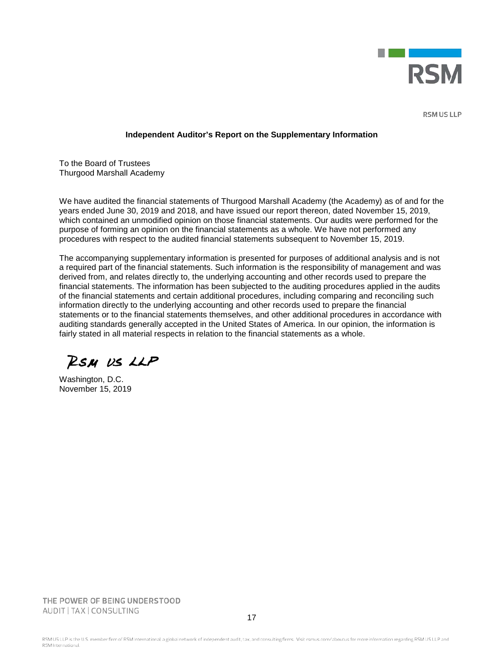

**RSM US LLP** 

#### **Independent Auditor's Report on the Supplementary Information**

To the Board of Trustees Thurgood Marshall Academy

We have audited the financial statements of Thurgood Marshall Academy (the Academy) as of and for the years ended June 30, 2019 and 2018, and have issued our report thereon, dated November 15, 2019, which contained an unmodified opinion on those financial statements. Our audits were performed for the purpose of forming an opinion on the financial statements as a whole. We have not performed any procedures with respect to the audited financial statements subsequent to November 15, 2019.

The accompanying supplementary information is presented for purposes of additional analysis and is not a required part of the financial statements. Such information is the responsibility of management and was derived from, and relates directly to, the underlying accounting and other records used to prepare the financial statements. The information has been subjected to the auditing procedures applied in the audits of the financial statements and certain additional procedures, including comparing and reconciling such information directly to the underlying accounting and other records used to prepare the financial statements or to the financial statements themselves, and other additional procedures in accordance with auditing standards generally accepted in the United States of America. In our opinion, the information is fairly stated in all material respects in relation to the financial statements as a whole.

RSM US LLP

Washington, D.C. November 15, 2019

THE POWER OF BEING UNDERSTOOD AUDIT | TAX | CONSULTING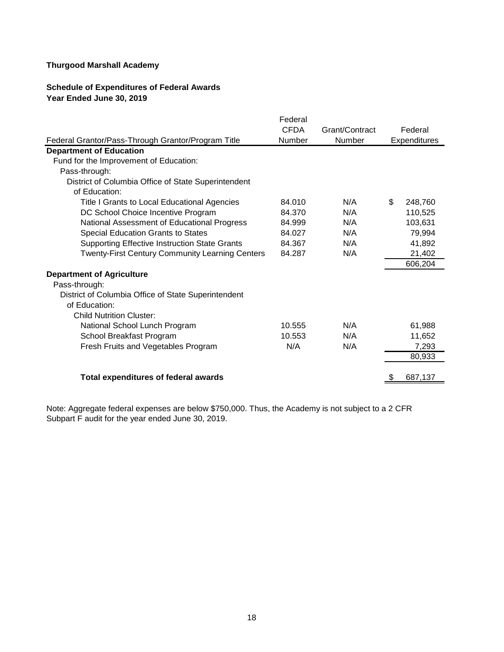# **Schedule of Expenditures of Federal Awards Year Ended June 30, 2019**

|                                                        | Federal<br><b>CFDA</b> | Grant/Contract | Federal |              |
|--------------------------------------------------------|------------------------|----------------|---------|--------------|
| Federal Grantor/Pass-Through Grantor/Program Title     | Number                 | Number         |         | Expenditures |
| <b>Department of Education</b>                         |                        |                |         |              |
| Fund for the Improvement of Education:                 |                        |                |         |              |
| Pass-through:                                          |                        |                |         |              |
| District of Columbia Office of State Superintendent    |                        |                |         |              |
| of Education:                                          |                        |                |         |              |
| Title I Grants to Local Educational Agencies           | 84.010                 | N/A            | \$      | 248,760      |
| DC School Choice Incentive Program                     | 84.370                 | N/A            |         | 110,525      |
| National Assessment of Educational Progress            | 84.999                 | N/A            |         | 103,631      |
| <b>Special Education Grants to States</b>              | 84.027                 | N/A            |         | 79,994       |
| <b>Supporting Effective Instruction State Grants</b>   | 84.367                 | N/A            |         | 41,892       |
| <b>Twenty-First Century Community Learning Centers</b> | 84.287                 | N/A            |         | 21,402       |
|                                                        |                        |                |         | 606,204      |
| <b>Department of Agriculture</b>                       |                        |                |         |              |
| Pass-through:                                          |                        |                |         |              |
| District of Columbia Office of State Superintendent    |                        |                |         |              |
| of Education:                                          |                        |                |         |              |
| <b>Child Nutrition Cluster:</b>                        |                        |                |         |              |
| National School Lunch Program                          | 10.555                 | N/A            |         | 61,988       |
| School Breakfast Program                               | 10.553                 | N/A            |         | 11,652       |
| Fresh Fruits and Vegetables Program                    | N/A                    | N/A            |         | 7,293        |
|                                                        |                        |                |         | 80,933       |
|                                                        |                        |                |         |              |
| <b>Total expenditures of federal awards</b>            |                        |                |         | 687,137      |

Note: Aggregate federal expenses are below \$750,000. Thus, the Academy is not subject to a 2 CFR Subpart F audit for the year ended June 30, 2019.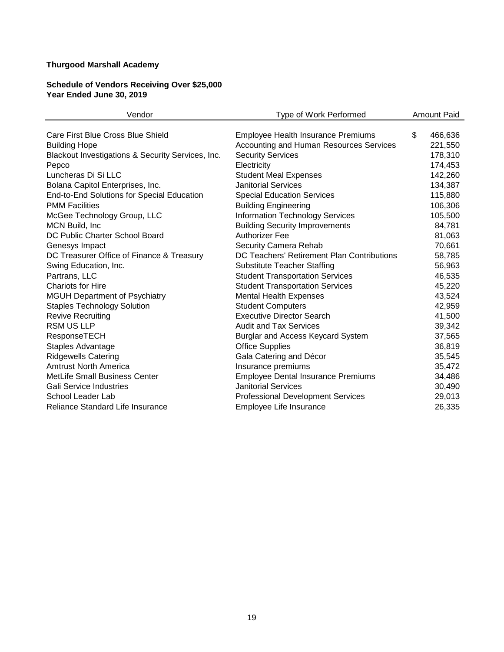## **Schedule of Vendors Receiving Over \$25,000 Year Ended June 30, 2019**

| Vendor                                            | Type of Work Performed                     |    | <b>Amount Paid</b> |  |
|---------------------------------------------------|--------------------------------------------|----|--------------------|--|
|                                                   |                                            |    |                    |  |
| Care First Blue Cross Blue Shield                 | <b>Employee Health Insurance Premiums</b>  | \$ | 466,636            |  |
| <b>Building Hope</b>                              | Accounting and Human Resources Services    |    | 221,550            |  |
| Blackout Investigations & Security Services, Inc. | <b>Security Services</b>                   |    | 178,310            |  |
| Pepco                                             | Electricity                                |    | 174,453            |  |
| Luncheras Di Si LLC                               | <b>Student Meal Expenses</b>               |    | 142,260            |  |
| Bolana Capitol Enterprises, Inc.                  | <b>Janitorial Services</b>                 |    | 134,387            |  |
| End-to-End Solutions for Special Education        | <b>Special Education Services</b>          |    | 115,880            |  |
| <b>PMM Facilities</b>                             | <b>Building Engineering</b>                |    | 106,306            |  |
| McGee Technology Group, LLC                       | <b>Information Technology Services</b>     |    | 105,500            |  |
| MCN Build, Inc.                                   | <b>Building Security Improvements</b>      |    | 84,781             |  |
| DC Public Charter School Board                    | <b>Authorizer Fee</b>                      |    | 81,063             |  |
| Genesys Impact                                    | Security Camera Rehab                      |    | 70,661             |  |
| DC Treasurer Office of Finance & Treasury         | DC Teachers' Retirement Plan Contributions |    | 58,785             |  |
| Swing Education, Inc.                             | <b>Substitute Teacher Staffing</b>         |    | 56,963             |  |
| Partrans, LLC                                     | <b>Student Transportation Services</b>     |    | 46,535             |  |
| <b>Chariots for Hire</b>                          | <b>Student Transportation Services</b>     |    | 45,220             |  |
| MGUH Department of Psychiatry                     | Mental Health Expenses                     |    | 43,524             |  |
| <b>Staples Technology Solution</b>                | <b>Student Computers</b>                   |    | 42,959             |  |
| <b>Revive Recruiting</b>                          | <b>Executive Director Search</b>           |    | 41,500             |  |
| <b>RSM US LLP</b>                                 | <b>Audit and Tax Services</b>              |    | 39,342             |  |
| ResponseTECH                                      | Burglar and Access Keycard System          |    | 37,565             |  |
| Staples Advantage                                 | <b>Office Supplies</b>                     |    | 36,819             |  |
| <b>Ridgewells Catering</b>                        | Gala Catering and Décor                    |    | 35,545             |  |
| <b>Amtrust North America</b>                      | Insurance premiums                         |    | 35,472             |  |
| <b>MetLife Small Business Center</b>              | <b>Employee Dental Insurance Premiums</b>  |    | 34,486             |  |
| <b>Gali Service Industries</b>                    | <b>Janitorial Services</b>                 |    | 30,490             |  |
| School Leader Lab                                 | <b>Professional Development Services</b>   |    | 29,013             |  |
| Reliance Standard Life Insurance                  | Employee Life Insurance                    |    | 26,335             |  |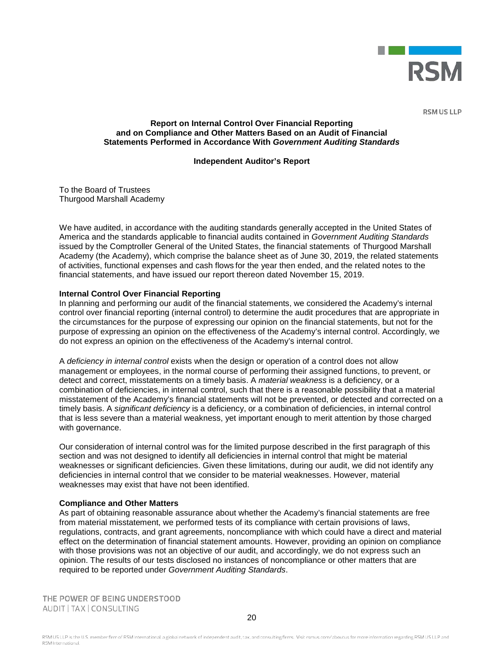

**RSM US LLP** 

#### **Report on Internal Control Over Financial Reporting and on Compliance and Other Matters Based on an Audit of Financial Statements Performed in Accordance With** *Government Auditing Standards*

#### **Independent Auditor's Report**

To the Board of Trustees Thurgood Marshall Academy

We have audited, in accordance with the auditing standards generally accepted in the United States of America and the standards applicable to financial audits contained in *Government Auditing Standards*  issued by the Comptroller General of the United States, the financial statements of Thurgood Marshall Academy (the Academy), which comprise the balance sheet as of June 30, 2019, the related statements of activities, functional expenses and cash flows for the year then ended, and the related notes to the financial statements, and have issued our report thereon dated November 15, 2019.

#### **Internal Control Over Financial Reporting**

In planning and performing our audit of the financial statements, we considered the Academy's internal control over financial reporting (internal control) to determine the audit procedures that are appropriate in the circumstances for the purpose of expressing our opinion on the financial statements, but not for the purpose of expressing an opinion on the effectiveness of the Academy's internal control. Accordingly, we do not express an opinion on the effectiveness of the Academy's internal control.

A *deficiency in internal control* exists when the design or operation of a control does not allow management or employees, in the normal course of performing their assigned functions, to prevent, or detect and correct, misstatements on a timely basis. A *material weakness* is a deficiency, or a combination of deficiencies, in internal control, such that there is a reasonable possibility that a material misstatement of the Academy's financial statements will not be prevented, or detected and corrected on a timely basis. A *significant deficiency* is a deficiency, or a combination of deficiencies, in internal control that is less severe than a material weakness, yet important enough to merit attention by those charged with governance.

Our consideration of internal control was for the limited purpose described in the first paragraph of this section and was not designed to identify all deficiencies in internal control that might be material weaknesses or significant deficiencies. Given these limitations, during our audit, we did not identify any deficiencies in internal control that we consider to be material weaknesses. However, material weaknesses may exist that have not been identified.

#### **Compliance and Other Matters**

As part of obtaining reasonable assurance about whether the Academy's financial statements are free from material misstatement, we performed tests of its compliance with certain provisions of laws, regulations, contracts, and grant agreements, noncompliance with which could have a direct and material effect on the determination of financial statement amounts. However, providing an opinion on compliance with those provisions was not an objective of our audit, and accordingly, we do not express such an opinion. The results of our tests disclosed no instances of noncompliance or other matters that are required to be reported under *Government Auditing Standards*.

THE POWER OF BEING UNDERSTOOD AUDIT | TAX | CONSULTING